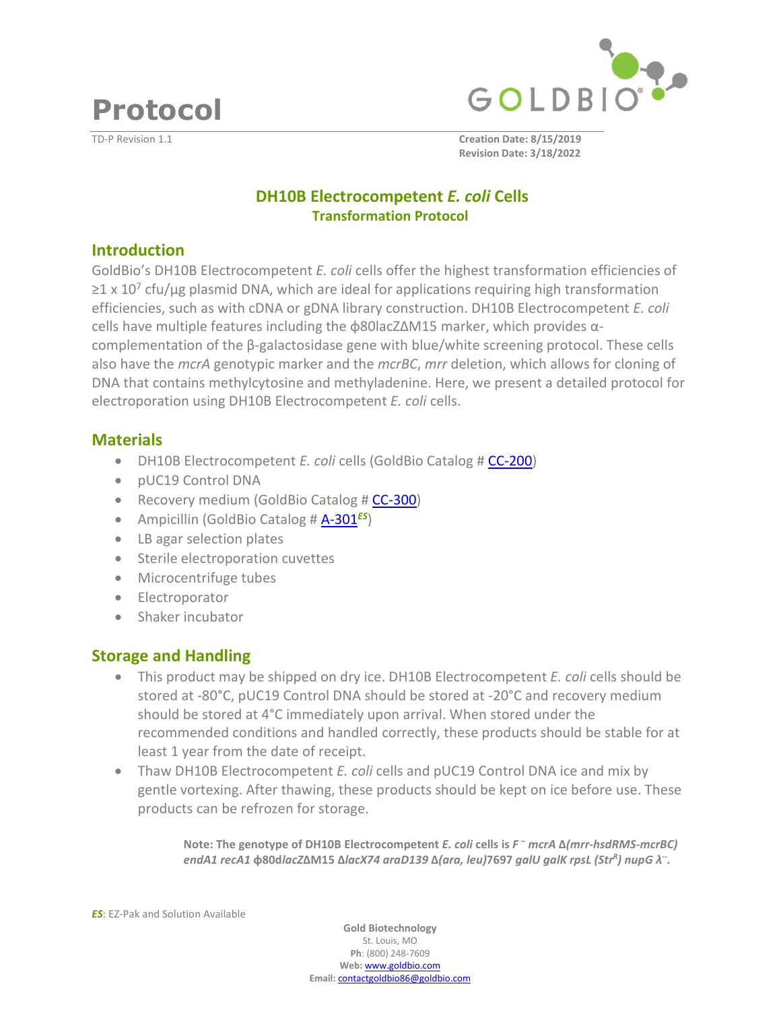**Protocol** 





TD-P Revision 1.1 **Creation Date: 8/15/2019 Revision Date: 3/18/2022**

# **DH10B Electrocompetent** *E. coli* **Cells Transformation Protocol**

#### **Introduction**

GoldBio's DH10B Electrocompetent *E. coli* cells offer the highest transformation efficiencies of  $≥1$  x 10<sup>7</sup> cfu/μg plasmid DNA, which are ideal for applications requiring high transformation efficiencies, such as with cDNA or gDNA library construction. DH10B Electrocompetent *E. coli* cells have multiple features including the ɸ80lacZ∆M15 marker, which provides αcomplementation of the β-galactosidase gene with blue/white screening protocol. These cells also have the *mcrA* genotypic marker and the *mcrBC*, *mrr* deletion, which allows for cloning of DNA that contains methylcytosine and methyladenine. Here, we present a detailed protocol for electroporation using DH10B Electrocompetent *E. coli* cells.

### **Materials**

- DH10B Electrocompetent *E. coli* cells (GoldBio Catal[og # CC-200](https://www.goldbio.com/product/dh10b-electrocompetent-e-coli-cells))
- pUC19 Control DNA
- Recovery medium (GoldBio Catal[og # CC-300](https://www.goldbio.com/product/competent-cell-recovery-medium))
- Ampicillin (GoldBio Catal[og # A-301](https://www.goldbio.com/search?q=A-301)*ES*)
- LB agar selection plates
- Sterile electroporation cuvettes
- Microcentrifuge tubes
- **•** Electroporator
- Shaker incubator

## **Storage and Handling**

- This product may be shipped on dry ice. DH10B Electrocompetent *E. coli* cells should be stored at -80°C, pUC19 Control DNA should be stored at -20°C and recovery medium should be stored at 4°C immediately upon arrival. When stored under the recommended conditions and handled correctly, these products should be stable for at least 1 year from the date of receipt.
- Thaw DH10B Electrocompetent *E. coli* cells and pUC19 Control DNA ice and mix by gentle vortexing. After thawing, these products should be kept on ice before use. These products can be refrozen for storage.

**Note: The genotype of DH10B Electrocompetent** *E. coli* **cells is** *F – mcrA* **∆***(mrr-hsdRMS-mcrBC) endA1 recA1* **ɸ80d***lacZ***∆M15 ∆***lacX74 araD139* **∆***(ara, leu)***7697** *galU galK rpsL (Str<sup>R</sup> ) nupG λ-- .*

*ES*: EZ-Pak and Solution Available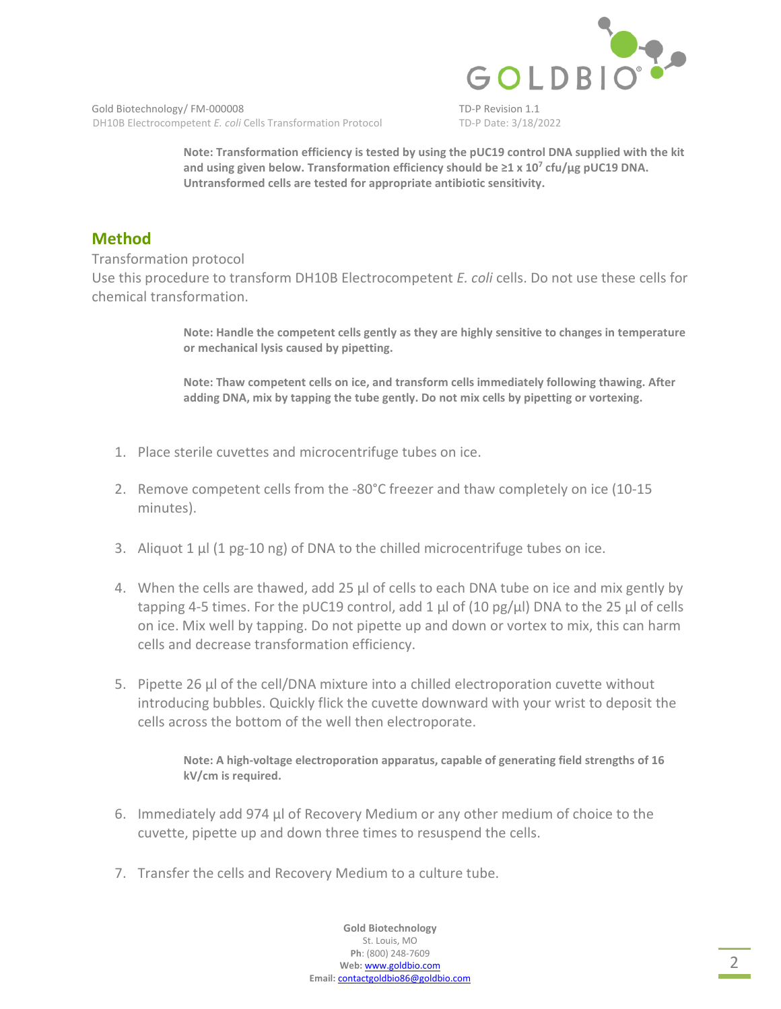

Gold Biotechnology/FM-000008 TD-P Revision 1.1 DH10B Electrocompetent *E. coli* Cells Transformation Protocol TD-P Date: 3/18/2022

**Note: Transformation efficiency is tested by using the pUC19 control DNA supplied with the kit**  and using given below. Transformation efficiency should be ≥1 x 10<sup>7</sup> cfu/µg pUC19 DNA. **Untransformed cells are tested for appropriate antibiotic sensitivity.** 

# **Method**

Transformation protocol

Use this procedure to transform DH10B Electrocompetent *E. coli* cells. Do not use these cells for chemical transformation.

> **Note: Handle the competent cells gently as they are highly sensitive to changes in temperature or mechanical lysis caused by pipetting.**

**Note: Thaw competent cells on ice, and transform cells immediately following thawing. After adding DNA, mix by tapping the tube gently. Do not mix cells by pipetting or vortexing.** 

- 1. Place sterile cuvettes and microcentrifuge tubes on ice.
- 2. Remove competent cells from the -80°C freezer and thaw completely on ice (10-15 minutes).
- 3. Aliquot 1  $\mu$  (1 pg-10 ng) of DNA to the chilled microcentrifuge tubes on ice.
- 4. When the cells are thawed, add 25 µl of cells to each DNA tube on ice and mix gently by tapping 4-5 times. For the pUC19 control, add 1  $\mu$ l of (10 pg/ $\mu$ l) DNA to the 25  $\mu$ l of cells on ice. Mix well by tapping. Do not pipette up and down or vortex to mix, this can harm cells and decrease transformation efficiency.
- 5. Pipette 26 µl of the cell/DNA mixture into a chilled electroporation cuvette without introducing bubbles. Quickly flick the cuvette downward with your wrist to deposit the cells across the bottom of the well then electroporate.

**Note: A high-voltage electroporation apparatus, capable of generating field strengths of 16 kV/cm is required.** 

- 6. Immediately add 974 µl of Recovery Medium or any other medium of choice to the cuvette, pipette up and down three times to resuspend the cells.
- 7. Transfer the cells and Recovery Medium to a culture tube.